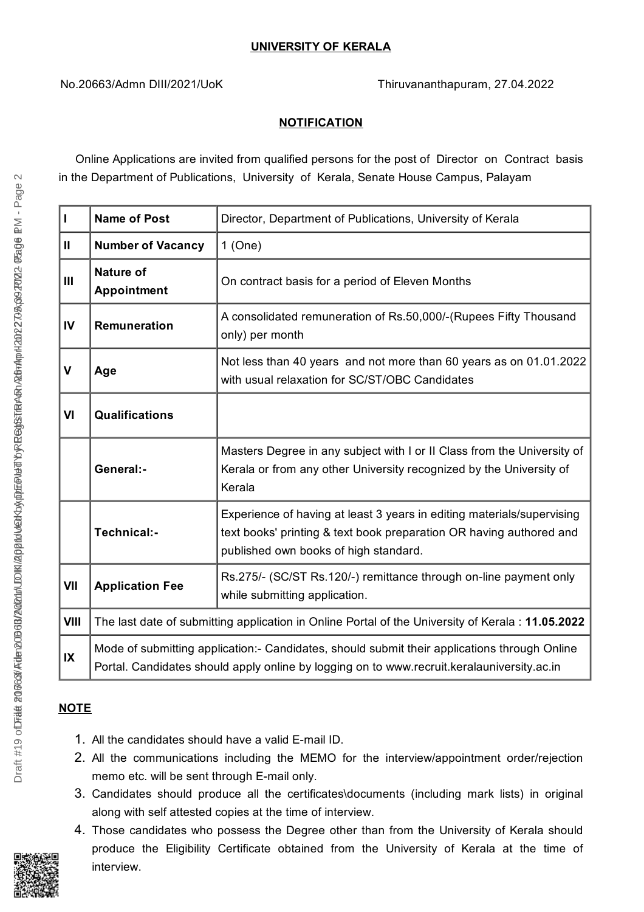## **UNIVERSITY OF KERALA**

## **NOTIFICATION**

Online Applications are invited from qualified persons for the post of Director on Contract basis in the Department of Publications, University of Kerala, Senate House Campus, Palayam

| $\mathbf{I}$   | <b>Name of Post</b>                                                                                                                                                                        | Director, Department of Publications, University of Kerala                                                                                                                             |
|----------------|--------------------------------------------------------------------------------------------------------------------------------------------------------------------------------------------|----------------------------------------------------------------------------------------------------------------------------------------------------------------------------------------|
| $\mathbf{I}$   | <b>Number of Vacancy</b>                                                                                                                                                                   | $1$ (One)                                                                                                                                                                              |
| $\mathbf{III}$ | <b>Nature of</b><br><b>Appointment</b>                                                                                                                                                     | On contract basis for a period of Eleven Months                                                                                                                                        |
| IV             | <b>Remuneration</b>                                                                                                                                                                        | A consolidated remuneration of Rs.50,000/-(Rupees Fifty Thousand<br>only) per month                                                                                                    |
| $\mathbf v$    | Age                                                                                                                                                                                        | Not less than 40 years and not more than 60 years as on 01.01.2022<br>with usual relaxation for SC/ST/OBC Candidates                                                                   |
| V <sub>l</sub> | <b>Qualifications</b>                                                                                                                                                                      |                                                                                                                                                                                        |
|                | General:-                                                                                                                                                                                  | Masters Degree in any subject with I or II Class from the University of<br>Kerala or from any other University recognized by the University of<br>Kerala                               |
|                | Technical:-                                                                                                                                                                                | Experience of having at least 3 years in editing materials/supervising<br>text books' printing & text book preparation OR having authored and<br>published own books of high standard. |
| VII            | <b>Application Fee</b>                                                                                                                                                                     | Rs.275/- (SC/ST Rs.120/-) remittance through on-line payment only<br>while submitting application.                                                                                     |
| <b>VIII</b>    | The last date of submitting application in Online Portal of the University of Kerala: 11.05.2022                                                                                           |                                                                                                                                                                                        |
| IX             | Mode of submitting application:- Candidates, should submit their applications through Online<br>Portal. Candidates should apply online by logging on to www.recruit.keralauniversity.ac.in |                                                                                                                                                                                        |

## **NOTE**

- 1. All the candidates should have a valid E-mail ID.
- 2. All the communications including the MEMO for the interview/appointment order/rejection memo etc. will be sent through E-mail only.
- 3. Candidates should produce all the certificates\documents (including mark lists) in original along with self attested copies at the time of interview.
- 4. Those candidates who possess the Degree other than from the University of Kerala should produce the Eligibility Certificate obtained from the University of Kerala at the time of interview.

 $\sim$